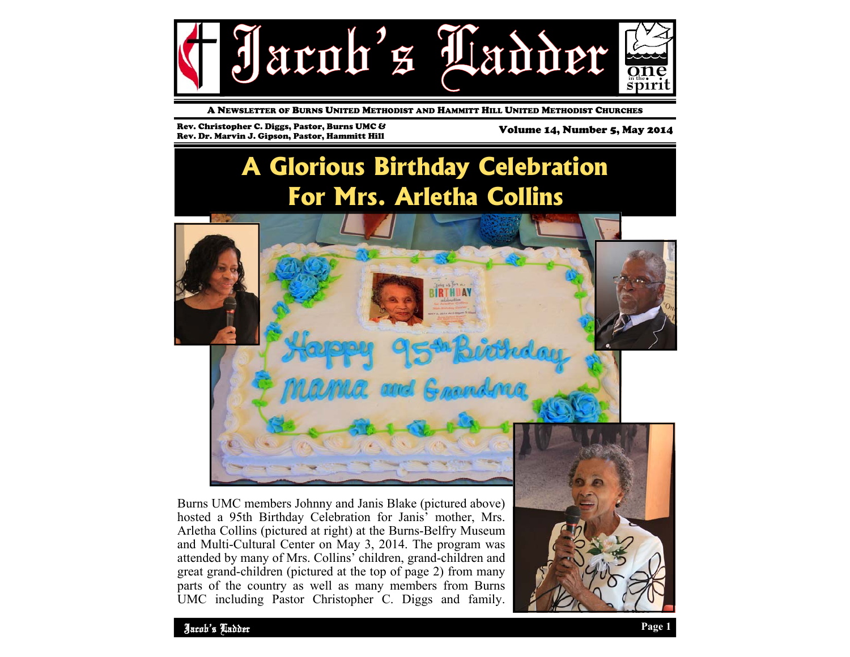

A NEWSLETTER OF BURNS UNITED METHODIST AND HAMMITT HILL UNITED METHODIST CHURCHES

Rev. Christopher C. Diggs, Pastor, Burns UMC & Rev. Christopher C. Diggs, Pastor, Burns UMC & Marchinell Volume 14, Number 5, May 2014<br>Rev. Dr. Marvin J. Gipson. Pastor. Hammitt Hill Marchinell Volume 14, Number 5, May 2014

### **A Glorious Birthday Celebration For Mrs. Arletha Collins**



Burns UMC members Johnny and Janis Blake (pictured above) hosted a 95th Birthday Celebration for Janis' mother, Mrs. Arletha Collins (pictured at right) at the Burns-Belfry Museum and Multi-Cultural Center on May 3, 2014. The program was attended by many of Mrs. Collins' children, grand-children and great grand-children (pictured at the top of page 2) from many parts of the country as well as many members from Burns UMC including Pastor Christopher C. Diggs and family.

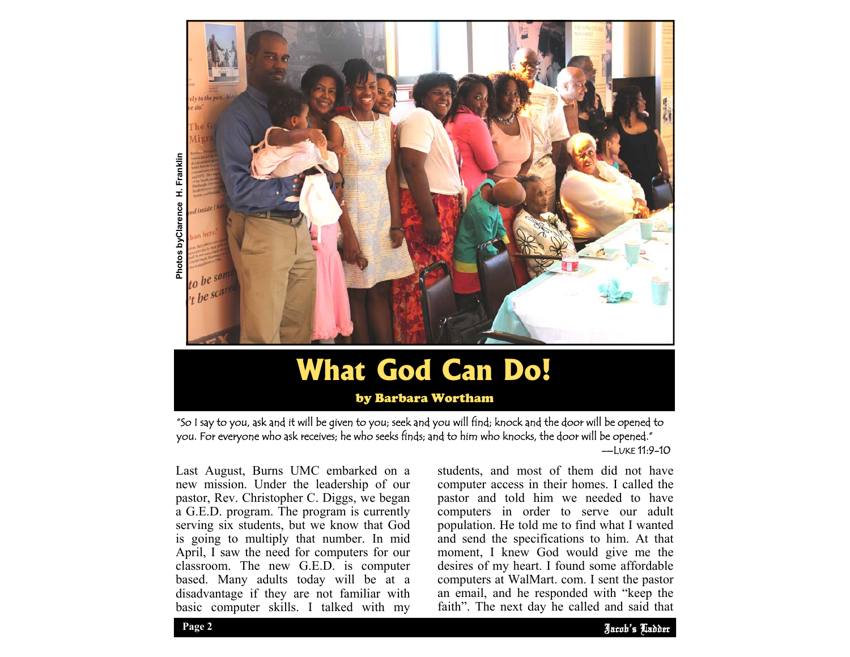

# **What God Can Do!**

by Barbara Wortham

"So I say to you, ask and it will be given to you; seek and you will find; knock and the door will be opened to you. For everyone who ask receives; he who seeks finds; and to him who knocks, the door will be opened."

—LUKE 11:9-10

Last August, Burns UMC embarked on a new mission. Under the leadership of our pastor, Rev. Christopher C. Diggs, we began a G.E.D. program. The program is currently serving six students, but we know that God is going to multiply that number. In mid April, I saw the need for computers for our classroom. The new G.E.D. is computer based. Many adults today will be at a disadvantage if they are not familiar with basic computer skills. I talked with my

desires of my heart. I found some affordable students, and most of them did not have computer access in their homes. I called the pastor and told him we needed to have computers in order to serve our adult population. He told me to find what I wanted and send the specifications to him. At that moment, I knew God would give me the computers at WalMart. com. I sent the pastor an email, and he responded with "keep the faith". The next day he called and said that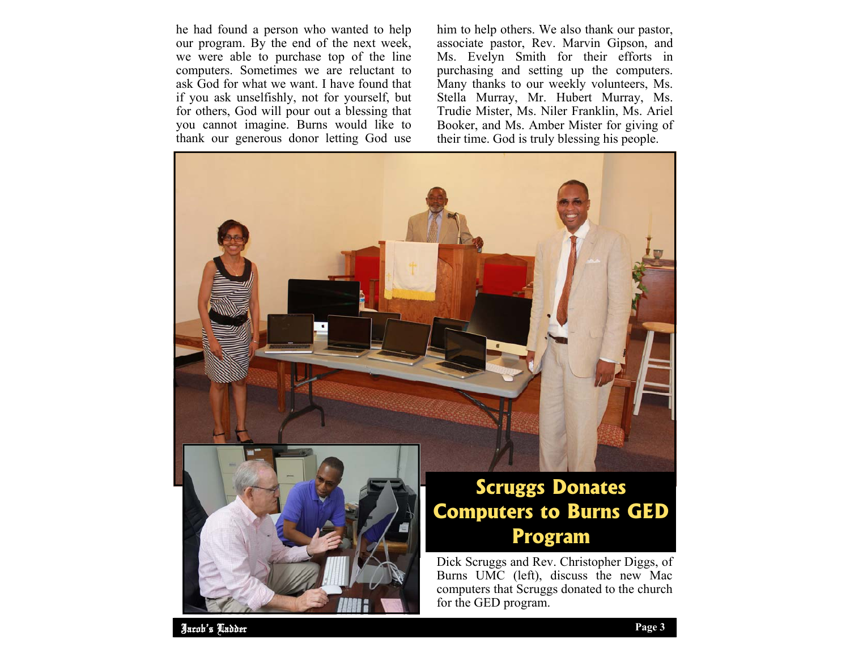he had found a person who wanted to help our program. By the end of the next week, we were able to purchase top of the line computers. Sometimes we are reluctant to ask God for what we want. I have found that if you ask unselfishly, not for yourself, but for others, God will pour out a blessing that you cannot imagine. Burns would like to thank our generous donor letting God use

him to help others. We also thank our pastor, associate pastor, Rev. Marvin Gipson, and Ms. Evelyn Smith for their efforts in purchasing and setting up the computers. Many thanks to our weekly volunteers, Ms. Stella Murray, Mr. Hubert Murray, Ms. Trudie Mister, Ms. Niler Franklin, Ms. Ariel Booker, and Ms. Amber Mister for giving of their time. God is truly blessing his people.



Jacob's Ladder Jacob's Ladder Page 2 **Page 3 Page 3**